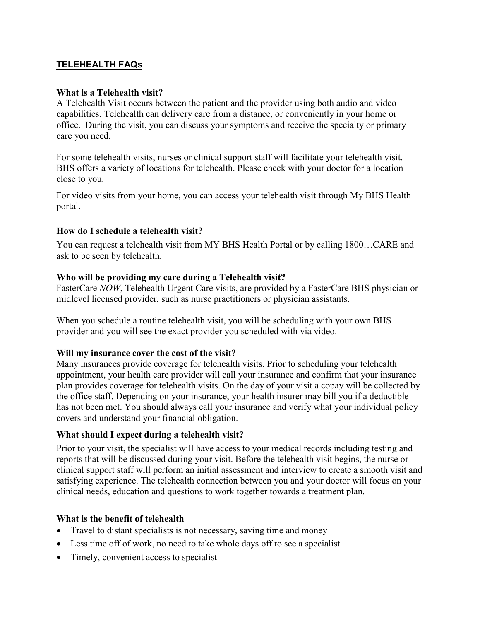## **TELEHEALTH FAQs**

#### **What is a Telehealth visit?**

A Telehealth Visit occurs between the patient and the provider using both audio and video capabilities. Telehealth can delivery care from a distance, or conveniently in your home or office. During the visit, you can discuss your symptoms and receive the specialty or primary care you need.

For some telehealth visits, nurses or clinical support staff will facilitate your telehealth visit. BHS offers a variety of locations for telehealth. Please check with your doctor for a location close to you.

For video visits from your home, you can access your telehealth visit through My BHS Health portal.

### **How do I schedule a telehealth visit?**

You can request a telehealth visit from MY BHS Health Portal or by calling 1800…CARE and ask to be seen by telehealth.

### **Who will be providing my care during a Telehealth visit?**

FasterCare *NOW*, Telehealth Urgent Care visits, are provided by a FasterCare BHS physician or midlevel licensed provider, such as nurse practitioners or physician assistants.

When you schedule a routine telehealth visit, you will be scheduling with your own BHS provider and you will see the exact provider you scheduled with via video.

#### **Will my insurance cover the cost of the visit?**

Many insurances provide coverage for telehealth visits. Prior to scheduling your telehealth appointment, your health care provider will call your insurance and confirm that your insurance plan provides coverage for telehealth visits. On the day of your visit a copay will be collected by the office staff. Depending on your insurance, your health insurer may bill you if a deductible has not been met. You should always call your insurance and verify what your individual policy covers and understand your financial obligation.

## **What should I expect during a telehealth visit?**

Prior to your visit, the specialist will have access to your medical records including testing and reports that will be discussed during your visit. Before the telehealth visit begins, the nurse or clinical support staff will perform an initial assessment and interview to create a smooth visit and satisfying experience. The telehealth connection between you and your doctor will focus on your clinical needs, education and questions to work together towards a treatment plan.

#### **What is the benefit of telehealth**

- Travel to distant specialists is not necessary, saving time and money
- Less time off of work, no need to take whole days off to see a specialist
- Timely, convenient access to specialist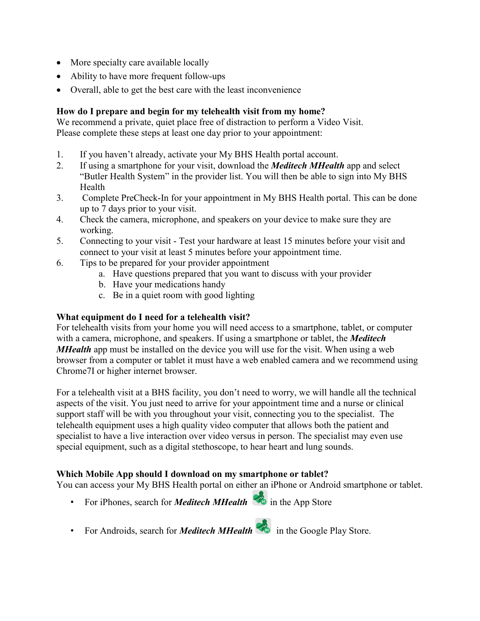- More specialty care available locally
- Ability to have more frequent follow-ups
- Overall, able to get the best care with the least inconvenience

# **How do I prepare and begin for my telehealth visit from my home?**

We recommend a private, quiet place free of distraction to perform a Video Visit. Please complete these steps at least one day prior to your appointment:

- 1. If you haven't already, activate your My BHS Health portal account.
- 2. If using a smartphone for your visit, download the *Meditech MHealth* app and select "Butler Health System" in the provider list. You will then be able to sign into My BHS Health
- 3. Complete PreCheck-In for your appointment in My BHS Health portal. This can be done up to 7 days prior to your visit.
- 4. Check the camera, microphone, and speakers on your device to make sure they are working.
- 5. Connecting to your visit Test your hardware at least 15 minutes before your visit and connect to your visit at least 5 minutes before your appointment time.
- 6. Tips to be prepared for your provider appointment
	- a. Have questions prepared that you want to discuss with your provider
	- b. Have your medications handy
	- c. Be in a quiet room with good lighting

## **What equipment do I need for a telehealth visit?**

For telehealth visits from your home you will need access to a smartphone, tablet, or computer with a camera, microphone, and speakers. If using a smartphone or tablet, the *Meditech MHealth* app must be installed on the device you will use for the visit. When using a web browser from a computer or tablet it must have a web enabled camera and we recommend using Chrome7I or higher internet browser.

For a telehealth visit at a BHS facility, you don't need to worry, we will handle all the technical aspects of the visit. You just need to arrive for your appointment time and a nurse or clinical support staff will be with you throughout your visit, connecting you to the specialist. The telehealth equipment uses a high quality video computer that allows both the patient and specialist to have a live interaction over video versus in person. The specialist may even use special equipment, such as a digital stethoscope, to hear heart and lung sounds.

# **Which Mobile App should I download on my smartphone or tablet?**

You can access your My BHS Health portal on either an iPhone or Android smartphone or tablet.

- For iPhones, search for *Meditech MHealth* in the App Store
- For Androids, search for *Meditech MHealth* in the Google Play Store.